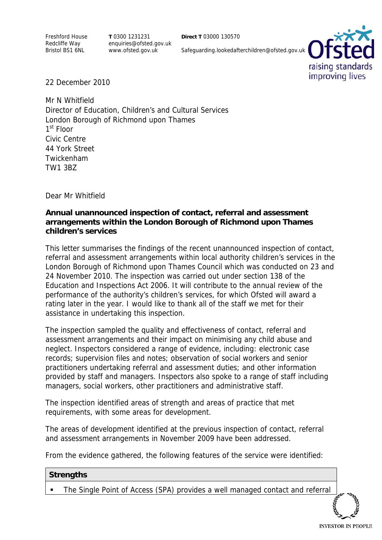Freshford House Redcliffe Way Bristol BS1 6NL

**T** 0300 1231231 enquiries@ofsted.gov.uk www.ofsted.gov.uk

**Direct T** 03000 130570

Safeguarding.lookedafterchildren@ofsted.gov.uk



22 December 2010

Mr N Whitfield Director of Education, Children's and Cultural Services London Borough of Richmond upon Thames 1<sup>st</sup> Floor Civic Centre 44 York Street Twickenham TW1 3BZ

Dear Mr Whitfield

## **Annual unannounced inspection of contact, referral and assessment arrangements within the London Borough of Richmond upon Thames children's services**

This letter summarises the findings of the recent unannounced inspection of contact, referral and assessment arrangements within local authority children's services in the London Borough of Richmond upon Thames Council which was conducted on 23 and 24 November 2010. The inspection was carried out under section 138 of the Education and Inspections Act 2006. It will contribute to the annual review of the performance of the authority's children's services, for which Ofsted will award a rating later in the year. I would like to thank all of the staff we met for their assistance in undertaking this inspection.

The inspection sampled the quality and effectiveness of contact, referral and assessment arrangements and their impact on minimising any child abuse and neglect. Inspectors considered a range of evidence, including: electronic case records; supervision files and notes; observation of social workers and senior practitioners undertaking referral and assessment duties; and other information provided by staff and managers. Inspectors also spoke to a range of staff including managers, social workers, other practitioners and administrative staff.

The inspection identified areas of strength and areas of practice that met requirements, with some areas for development.

The areas of development identified at the previous inspection of contact, referral and assessment arrangements in November 2009 have been addressed.

From the evidence gathered, the following features of the service were identified:

#### **Strengths**

The Single Point of Access (SPA) provides a well managed contact and referral

**INVESTOR IN PEOPLE**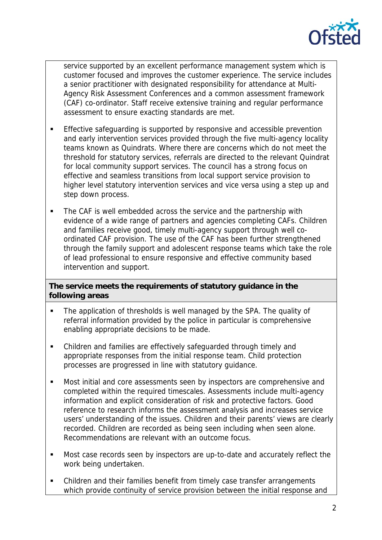

service supported by an excellent performance management system which is customer focused and improves the customer experience. The service includes a senior practitioner with designated responsibility for attendance at Multi-Agency Risk Assessment Conferences and a common assessment framework (CAF) co-ordinator. Staff receive extensive training and regular performance assessment to ensure exacting standards are met.

- **Effective safeguarding is supported by responsive and accessible prevention** and early intervention services provided through the five multi-agency locality teams known as Quindrats. Where there are concerns which do not meet the threshold for statutory services, referrals are directed to the relevant Quindrat for local community support services. The council has a strong focus on effective and seamless transitions from local support service provision to higher level statutory intervention services and vice versa using a step up and step down process.
- The CAF is well embedded across the service and the partnership with evidence of a wide range of partners and agencies completing CAFs. Children and families receive good, timely multi-agency support through well coordinated CAF provision. The use of the CAF has been further strengthened through the family support and adolescent response teams which take the role of lead professional to ensure responsive and effective community based intervention and support.

# **The service meets the requirements of statutory guidance in the following areas**

- The application of thresholds is well managed by the SPA. The quality of referral information provided by the police in particular is comprehensive enabling appropriate decisions to be made.
- Children and families are effectively safeguarded through timely and appropriate responses from the initial response team. Child protection processes are progressed in line with statutory guidance.
- Most initial and core assessments seen by inspectors are comprehensive and completed within the required timescales. Assessments include multi-agency information and explicit consideration of risk and protective factors. Good reference to research informs the assessment analysis and increases service users' understanding of the issues. Children and their parents' views are clearly recorded. Children are recorded as being seen including when seen alone. Recommendations are relevant with an outcome focus.
- Most case records seen by inspectors are up-to-date and accurately reflect the work being undertaken.
- Children and their families benefit from timely case transfer arrangements which provide continuity of service provision between the initial response and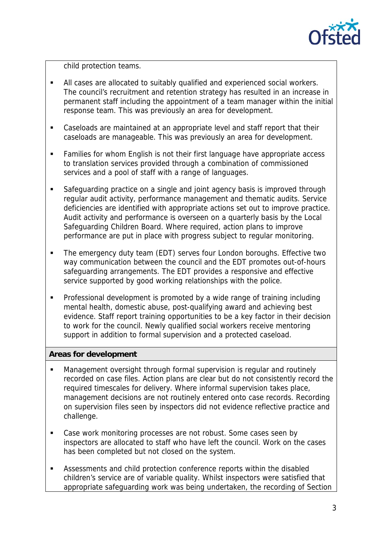

child protection teams.

- All cases are allocated to suitably qualified and experienced social workers. The council's recruitment and retention strategy has resulted in an increase in permanent staff including the appointment of a team manager within the initial response team. This was previously an area for development.
- Caseloads are maintained at an appropriate level and staff report that their caseloads are manageable. This was previously an area for development.
- Families for whom English is not their first language have appropriate access to translation services provided through a combination of commissioned services and a pool of staff with a range of languages.
- Safeguarding practice on a single and joint agency basis is improved through regular audit activity, performance management and thematic audits. Service deficiencies are identified with appropriate actions set out to improve practice. Audit activity and performance is overseen on a quarterly basis by the Local Safeguarding Children Board. Where required, action plans to improve performance are put in place with progress subject to regular monitoring.
- The emergency duty team (EDT) serves four London boroughs. Effective two way communication between the council and the EDT promotes out-of-hours safeguarding arrangements. The EDT provides a responsive and effective service supported by good working relationships with the police.
- Professional development is promoted by a wide range of training including mental health, domestic abuse, post-qualifying award and achieving best evidence. Staff report training opportunities to be a key factor in their decision to work for the council. Newly qualified social workers receive mentoring support in addition to formal supervision and a protected caseload.

## **Areas for development**

- Management oversight through formal supervision is regular and routinely recorded on case files. Action plans are clear but do not consistently record the required timescales for delivery. Where informal supervision takes place, management decisions are not routinely entered onto case records. Recording on supervision files seen by inspectors did not evidence reflective practice and challenge.
- Case work monitoring processes are not robust. Some cases seen by inspectors are allocated to staff who have left the council. Work on the cases has been completed but not closed on the system.
- Assessments and child protection conference reports within the disabled children's service are of variable quality. Whilst inspectors were satisfied that appropriate safeguarding work was being undertaken, the recording of Section